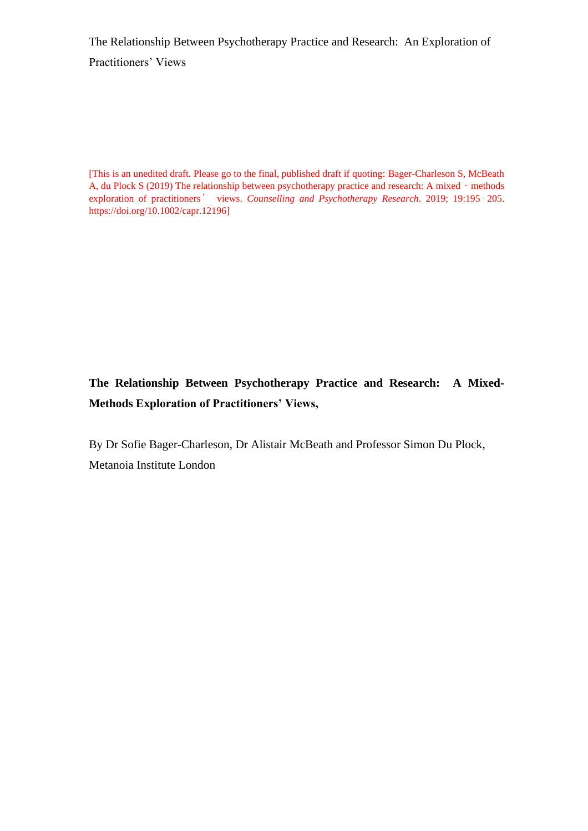The Relationship Between Psychotherapy Practice and Research: An Exploration of Practitioners' Views

[This is an unedited draft. Please go to the final, published draft if quoting: Bager-Charleson S, McBeath A, du Plock S (2019) The relationship between psychotherapy practice and research: A mixed – methods exploration of practitioners' views. *Counselling and Psychotherapy Research*. 2019; 19:195–205. https://doi.org/10.1002/capr.12196]

# **The Relationship Between Psychotherapy Practice and Research: A Mixed-Methods Exploration of Practitioners' Views,**

By Dr Sofie Bager-Charleson, Dr Alistair McBeath and Professor Simon Du Plock, Metanoia Institute London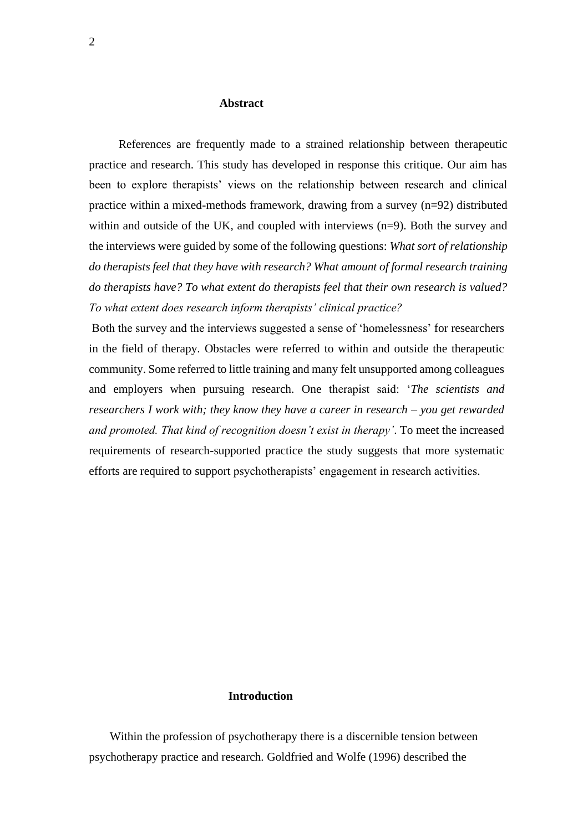### **Abstract**

 References are frequently made to a strained relationship between therapeutic practice and research. This study has developed in response this critique. Our aim has been to explore therapists' views on the relationship between research and clinical practice within a mixed-methods framework, drawing from a survey (n=92) distributed within and outside of the UK, and coupled with interviews (n=9). Both the survey and the interviews were guided by some of the following questions: *What sort of relationship do therapists feel that they have with research? What amount of formal research training do therapists have? To what extent do therapists feel that their own research is valued? To what extent does research inform therapists' clinical practice?* 

Both the survey and the interviews suggested a sense of 'homelessness' for researchers in the field of therapy. Obstacles were referred to within and outside the therapeutic community. Some referred to little training and many felt unsupported among colleagues and employers when pursuing research. One therapist said: '*The scientists and researchers I work with; they know they have a career in research – you get rewarded and promoted. That kind of recognition doesn't exist in therapy'*. To meet the increased requirements of research-supported practice the study suggests that more systematic efforts are required to support psychotherapists' engagement in research activities.

### **Introduction**

 Within the profession of psychotherapy there is a discernible tension between psychotherapy practice and research. Goldfried and Wolfe (1996) described the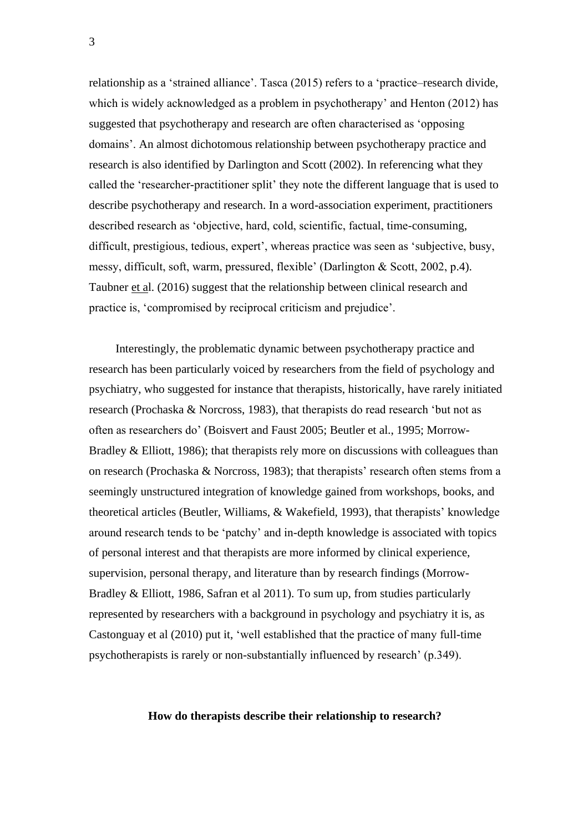relationship as a 'strained alliance'. Tasca (2015) refers to a 'practice–research divide, which is widely acknowledged as a problem in psychotherapy' and Henton (2012) has suggested that psychotherapy and research are often characterised as 'opposing domains'. An almost dichotomous relationship between psychotherapy practice and research is also identified by Darlington and Scott (2002). In referencing what they called the 'researcher-practitioner split' they note the different language that is used to describe psychotherapy and research. In a word-association experiment, practitioners described research as 'objective, hard, cold, scientific, factual, time-consuming, difficult, prestigious, tedious, expert', whereas practice was seen as 'subjective, busy, messy, difficult, soft, warm, pressured, flexible' (Darlington & Scott, 2002, p.4). Taubner et al. (2016) suggest that the relationship between clinical research and practice is, 'compromised by reciprocal criticism and prejudice'.

 Interestingly, the problematic dynamic between psychotherapy practice and research has been particularly voiced by researchers from the field of psychology and psychiatry, who suggested for instance that therapists, historically, have rarely initiated research (Prochaska & Norcross, 1983), that therapists do read research 'but not as often as researchers do' (Boisvert and Faust 2005; Beutler et al., 1995; Morrow-Bradley & Elliott, 1986); that therapists rely more on discussions with colleagues than on research (Prochaska & Norcross, 1983); that therapists' research often stems from a seemingly unstructured integration of knowledge gained from workshops, books, and theoretical articles (Beutler, Williams, & Wakefield, 1993), that therapists' knowledge around research tends to be 'patchy' and in-depth knowledge is associated with topics of personal interest and that therapists are more informed by clinical experience, supervision, personal therapy, and literature than by research findings (Morrow-Bradley & Elliott, 1986, Safran et al 2011). To sum up, from studies particularly represented by researchers with a background in psychology and psychiatry it is, as Castonguay et al (2010) put it, 'well established that the practice of many full-time psychotherapists is rarely or non-substantially influenced by research' (p.349).

#### **How do therapists describe their relationship to research?**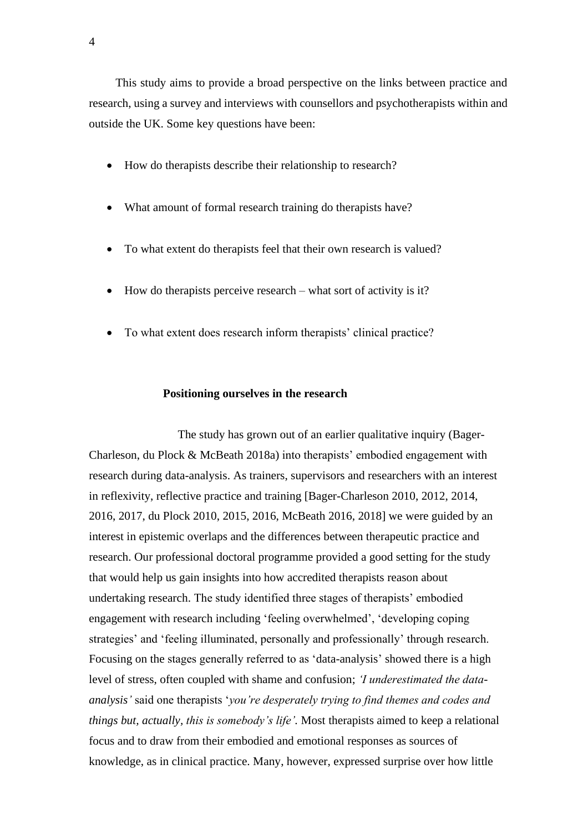This study aims to provide a broad perspective on the links between practice and research, using a survey and interviews with counsellors and psychotherapists within and outside the UK. Some key questions have been:

- How do therapists describe their relationship to research?
- What amount of formal research training do therapists have?
- To what extent do therapists feel that their own research is valued?
- How do therapists perceive research what sort of activity is it?
- To what extent does research inform therapists' clinical practice?

#### **Positioning ourselves in the research**

 The study has grown out of an earlier qualitative inquiry (Bager-Charleson, du Plock & McBeath 2018a) into therapists' embodied engagement with research during data-analysis. As trainers, supervisors and researchers with an interest in reflexivity, reflective practice and training [Bager-Charleson 2010, 2012, 2014, 2016, 2017, du Plock 2010, 2015, 2016, McBeath 2016, 2018] we were guided by an interest in epistemic overlaps and the differences between therapeutic practice and research. Our professional doctoral programme provided a good setting for the study that would help us gain insights into how accredited therapists reason about undertaking research. The study identified three stages of therapists' embodied engagement with research including 'feeling overwhelmed', 'developing coping strategies' and 'feeling illuminated, personally and professionally' through research. Focusing on the stages generally referred to as 'data-analysis' showed there is a high level of stress, often coupled with shame and confusion; *'I underestimated the dataanalysis'* said one therapists '*you're desperately trying to find themes and codes and things but, actually, this is somebody's life'.* Most therapists aimed to keep a relational focus and to draw from their embodied and emotional responses as sources of knowledge, as in clinical practice. Many, however, expressed surprise over how little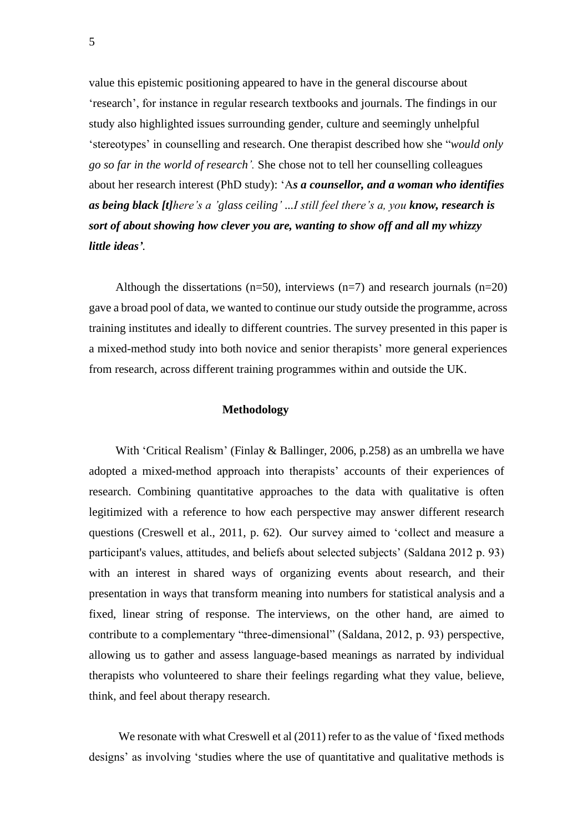value this epistemic positioning appeared to have in the general discourse about 'research', for instance in regular research textbooks and journals. The findings in our study also highlighted issues surrounding gender, culture and seemingly unhelpful 'stereotypes' in counselling and research. One therapist described how she "*would only go so far in the world of research'.* She chose not to tell her counselling colleagues about her research interest (PhD study): 'A*s a counsellor, and a woman who identifies as being black [t]here's a 'glass ceiling' ...I still feel there's a, you know, research is sort of about showing how clever you are, wanting to show off and all my whizzy little ideas'.*

Although the dissertations (n=50), interviews (n=7) and research journals (n=20) gave a broad pool of data, we wanted to continue our study outside the programme, across training institutes and ideally to different countries. The survey presented in this paper is a mixed-method study into both novice and senior therapists' more general experiences from research, across different training programmes within and outside the UK.

#### **Methodology**

With 'Critical Realism' (Finlay & Ballinger, 2006, p.258) as an umbrella we have adopted a mixed-method approach into therapists' accounts of their experiences of research. Combining quantitative approaches to the data with qualitative is often legitimized with a reference to how each perspective may answer different research questions (Creswell et al., 2011, p. 62). Our survey aimed to 'collect and measure a participant's values, attitudes, and beliefs about selected subjects' (Saldana 2012 p. 93) with an interest in shared ways of organizing events about research, and their presentation in ways that transform meaning into numbers for statistical analysis and a fixed, linear string of response. The interviews, on the other hand, are aimed to contribute to a complementary "three-dimensional" (Saldana, 2012, p. 93) perspective, allowing us to gather and assess language-based meanings as narrated by individual therapists who volunteered to share their feelings regarding what they value, believe, think, and feel about therapy research.

We resonate with what Creswell et al  $(2011)$  refer to as the value of 'fixed methods' designs' as involving 'studies where the use of quantitative and qualitative methods is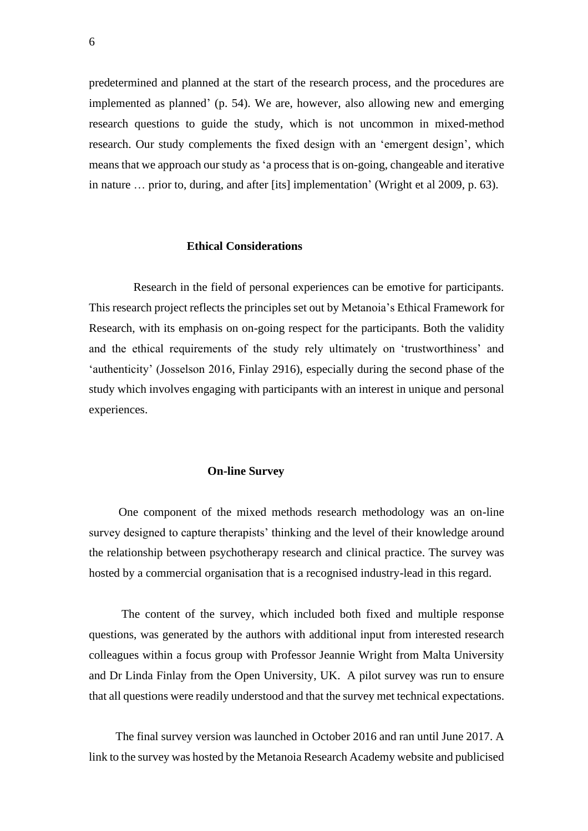predetermined and planned at the start of the research process, and the procedures are implemented as planned' (p. 54). We are, however, also allowing new and emerging research questions to guide the study, which is not uncommon in mixed-method research. Our study complements the fixed design with an 'emergent design', which means that we approach our study as 'a process that is on-going, changeable and iterative in nature … prior to, during, and after [its] implementation' (Wright et al 2009, p. 63).

#### **Ethical Considerations**

 Research in the field of personal experiences can be emotive for participants. This research project reflects the principles set out by Metanoia's Ethical Framework for Research, with its emphasis on on-going respect for the participants. Both the validity and the ethical requirements of the study rely ultimately on 'trustworthiness' and 'authenticity' (Josselson 2016, Finlay 2916), especially during the second phase of the study which involves engaging with participants with an interest in unique and personal experiences.

## **On-line Survey**

One component of the mixed methods research methodology was an on-line survey designed to capture therapists' thinking and the level of their knowledge around the relationship between psychotherapy research and clinical practice. The survey was hosted by a commercial organisation that is a recognised industry-lead in this regard.

 The content of the survey, which included both fixed and multiple response questions, was generated by the authors with additional input from interested research colleagues within a focus group with Professor Jeannie Wright from Malta University and Dr Linda Finlay from the Open University, UK. A pilot survey was run to ensure that all questions were readily understood and that the survey met technical expectations.

 The final survey version was launched in October 2016 and ran until June 2017. A link to the survey was hosted by the Metanoia Research Academy website and publicised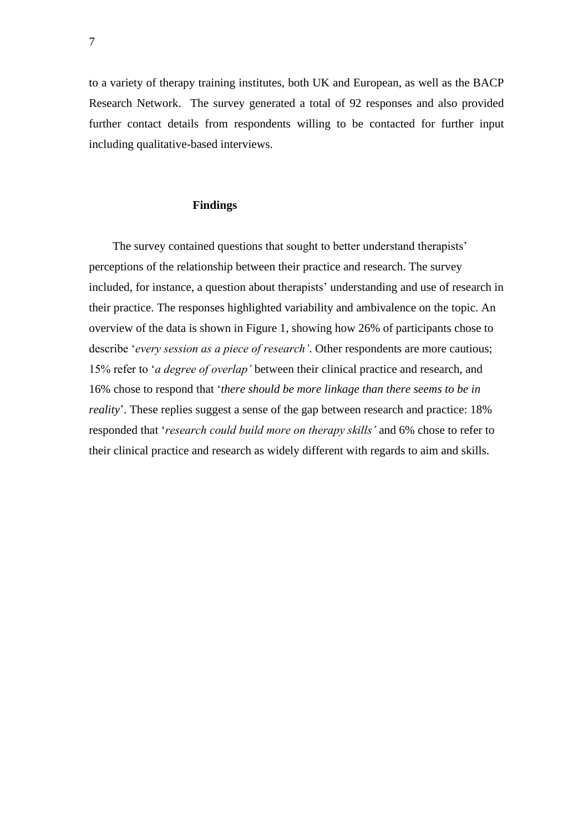to a variety of therapy training institutes, both UK and European, as well as the BACP Research Network. The survey generated a total of 92 responses and also provided further contact details from respondents willing to be contacted for further input including qualitative-based interviews.

#### **Findings**

 The survey contained questions that sought to better understand therapists' perceptions of the relationship between their practice and research. The survey included, for instance, a question about therapists' understanding and use of research in their practice. The responses highlighted variability and ambivalence on the topic. An overview of the data is shown in Figure 1, showing how 26% of participants chose to describe '*every session as a piece of research'*. Other respondents are more cautious; 15% refer to '*a degree of overlap'* between their clinical practice and research, and 16% chose to respond that '*there should be more linkage than there seems to be in reality*'. These replies suggest a sense of the gap between research and practice: 18% responded that '*research could build more on therapy skills'* and 6% chose to refer to their clinical practice and research as widely different with regards to aim and skills.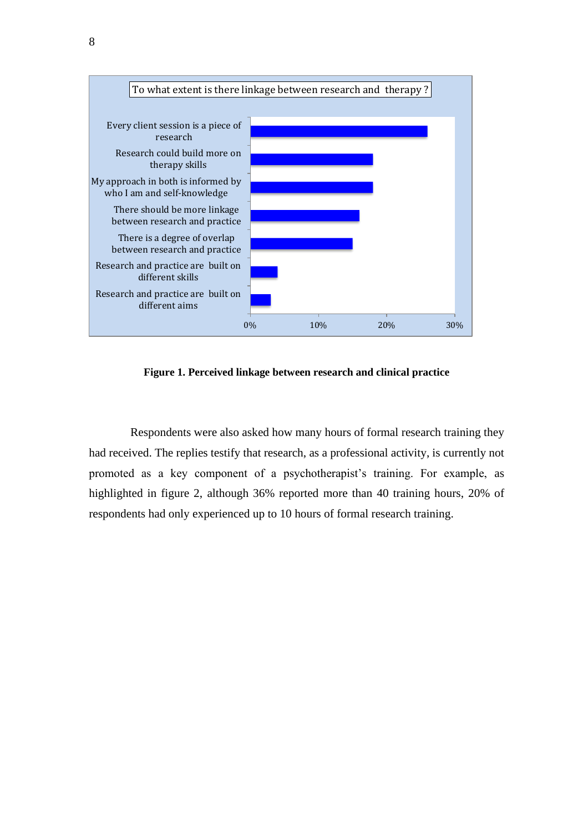

**Figure 1. Perceived linkage between research and clinical practice**

 Respondents were also asked how many hours of formal research training they had received. The replies testify that research, as a professional activity, is currently not promoted as a key component of a psychotherapist's training. For example, as highlighted in figure 2, although 36% reported more than 40 training hours, 20% of respondents had only experienced up to 10 hours of formal research training.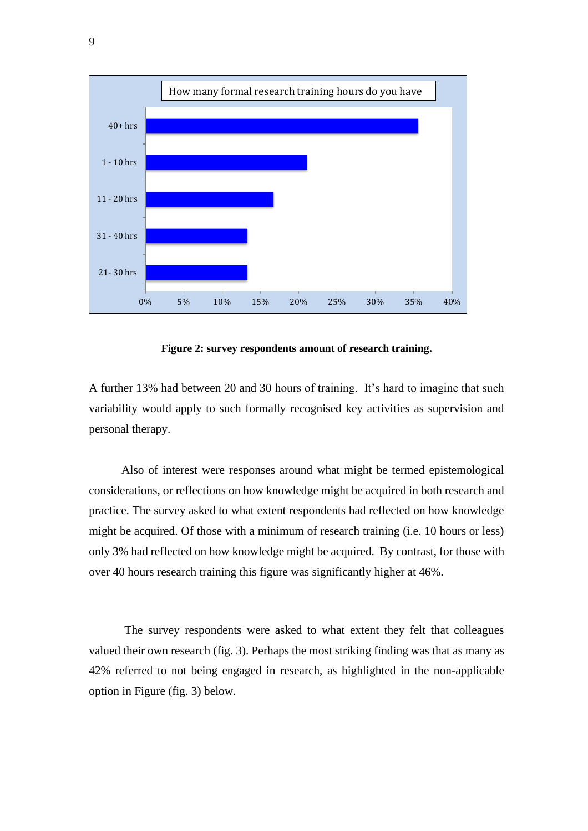

**Figure 2: survey respondents amount of research training.**

A further 13% had between 20 and 30 hours of training. It's hard to imagine that such variability would apply to such formally recognised key activities as supervision and personal therapy.

 Also of interest were responses around what might be termed epistemological considerations, or reflections on how knowledge might be acquired in both research and practice. The survey asked to what extent respondents had reflected on how knowledge might be acquired. Of those with a minimum of research training (i.e. 10 hours or less) only 3% had reflected on how knowledge might be acquired. By contrast, for those with over 40 hours research training this figure was significantly higher at 46%.

 The survey respondents were asked to what extent they felt that colleagues valued their own research (fig. 3). Perhaps the most striking finding was that as many as 42% referred to not being engaged in research, as highlighted in the non-applicable option in Figure (fig. 3) below.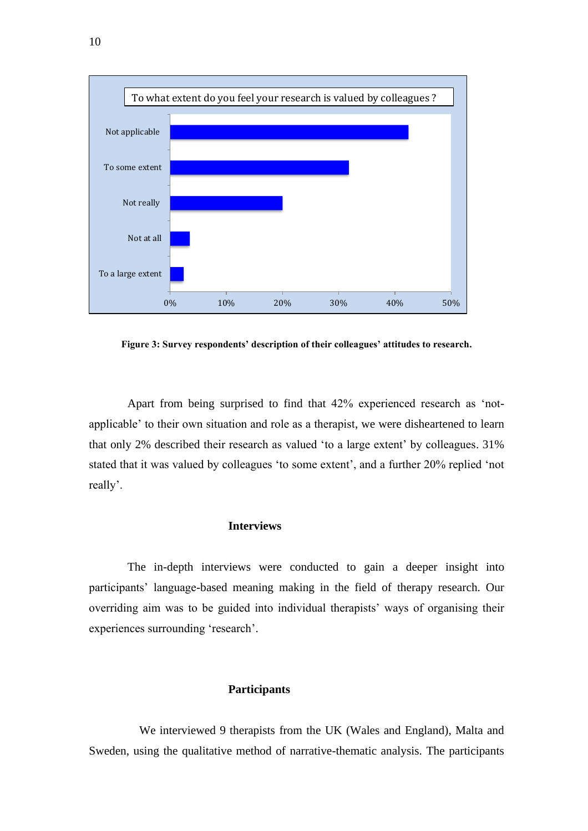

**Figure 3: Survey respondents' description of their colleagues' attitudes to research.**

 Apart from being surprised to find that 42% experienced research as 'notapplicable' to their own situation and role as a therapist, we were disheartened to learn that only 2% described their research as valued 'to a large extent' by colleagues. 31% stated that it was valued by colleagues 'to some extent', and a further 20% replied 'not really'.

# **Interviews**

 The in-depth interviews were conducted to gain a deeper insight into participants' language-based meaning making in the field of therapy research. Our overriding aim was to be guided into individual therapists' ways of organising their experiences surrounding 'research'.

# **Participants**

 We interviewed 9 therapists from the UK (Wales and England), Malta and Sweden, using the qualitative method of narrative-thematic analysis. The participants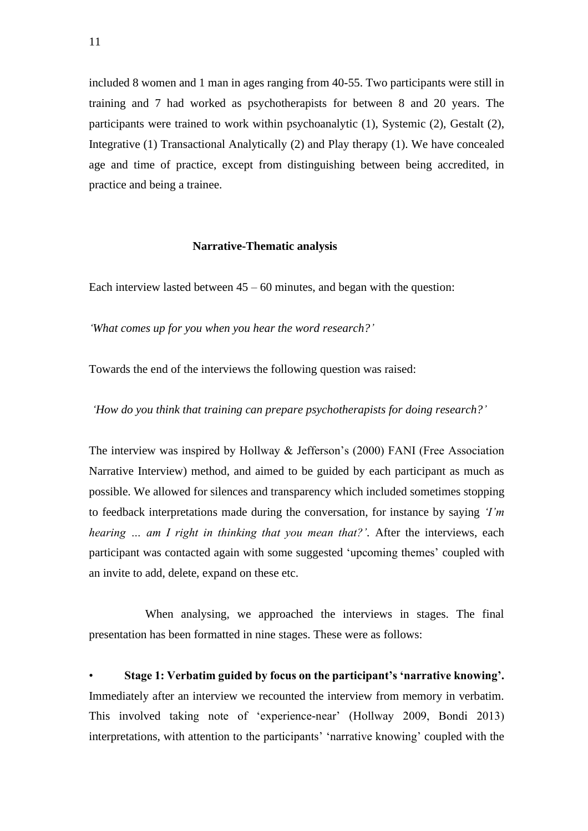included 8 women and 1 man in ages ranging from 40-55. Two participants were still in training and 7 had worked as psychotherapists for between 8 and 20 years. The participants were trained to work within psychoanalytic (1), Systemic (2), Gestalt (2), Integrative (1) Transactional Analytically (2) and Play therapy (1). We have concealed age and time of practice, except from distinguishing between being accredited, in practice and being a trainee.

#### **Narrative-Thematic analysis**

Each interview lasted between  $45 - 60$  minutes, and began with the question:

*'What comes up for you when you hear the word research?'*

Towards the end of the interviews the following question was raised:

*'How do you think that training can prepare psychotherapists for doing research?'*

The interview was inspired by Hollway & Jefferson's (2000) FANI (Free Association Narrative Interview) method, and aimed to be guided by each participant as much as possible. We allowed for silences and transparency which included sometimes stopping to feedback interpretations made during the conversation, for instance by saying *'I'm hearing* ... *am I right in thinking that you mean that?'*. After the interviews, each participant was contacted again with some suggested 'upcoming themes' coupled with an invite to add, delete, expand on these etc.

 When analysing, we approached the interviews in stages. The final presentation has been formatted in nine stages. These were as follows:

• **Stage 1: Verbatim guided by focus on the participant's 'narrative knowing'.** Immediately after an interview we recounted the interview from memory in verbatim. This involved taking note of 'experience-near' (Hollway 2009, Bondi 2013) interpretations, with attention to the participants' 'narrative knowing' coupled with the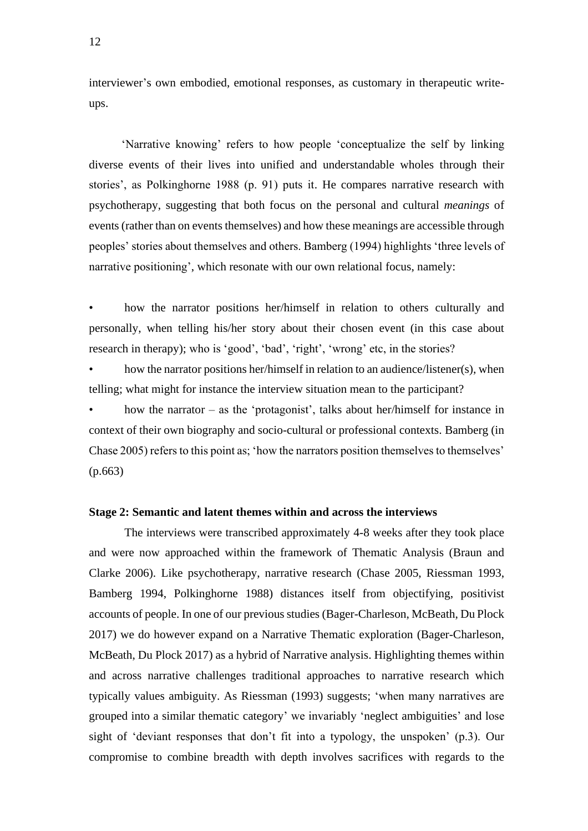interviewer's own embodied, emotional responses, as customary in therapeutic writeups.

 'Narrative knowing' refers to how people 'conceptualize the self by linking diverse events of their lives into unified and understandable wholes through their stories', as Polkinghorne 1988 (p. 91) puts it. He compares narrative research with psychotherapy, suggesting that both focus on the personal and cultural *meanings* of events (rather than on events themselves) and how these meanings are accessible through peoples' stories about themselves and others. Bamberg (1994) highlights 'three levels of narrative positioning', which resonate with our own relational focus, namely:

• how the narrator positions her/himself in relation to others culturally and personally, when telling his/her story about their chosen event (in this case about research in therapy); who is 'good', 'bad', 'right', 'wrong' etc, in the stories?

• how the narrator positions her/himself in relation to an audience/listener(s), when telling; what might for instance the interview situation mean to the participant?

• how the narrator – as the 'protagonist', talks about her/himself for instance in context of their own biography and socio-cultural or professional contexts. Bamberg (in Chase 2005) refers to this point as; 'how the narrators position themselves to themselves' (p.663)

#### **Stage 2: Semantic and latent themes within and across the interviews**

The interviews were transcribed approximately 4-8 weeks after they took place and were now approached within the framework of Thematic Analysis (Braun and Clarke 2006). Like psychotherapy, narrative research (Chase 2005, Riessman 1993, Bamberg 1994, Polkinghorne 1988) distances itself from objectifying, positivist accounts of people. In one of our previous studies (Bager-Charleson, McBeath, Du Plock 2017) we do however expand on a Narrative Thematic exploration (Bager-Charleson, McBeath, Du Plock 2017) as a hybrid of Narrative analysis. Highlighting themes within and across narrative challenges traditional approaches to narrative research which typically values ambiguity. As Riessman (1993) suggests; 'when many narratives are grouped into a similar thematic category' we invariably 'neglect ambiguities' and lose sight of 'deviant responses that don't fit into a typology, the unspoken' (p.3). Our compromise to combine breadth with depth involves sacrifices with regards to the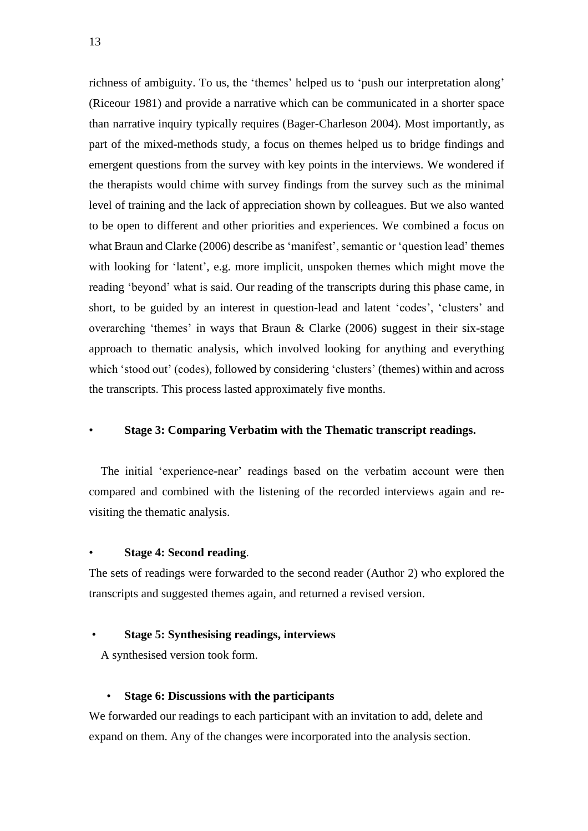richness of ambiguity. To us, the 'themes' helped us to 'push our interpretation along' (Riceour 1981) and provide a narrative which can be communicated in a shorter space than narrative inquiry typically requires (Bager-Charleson 2004). Most importantly, as part of the mixed-methods study, a focus on themes helped us to bridge findings and emergent questions from the survey with key points in the interviews. We wondered if the therapists would chime with survey findings from the survey such as the minimal level of training and the lack of appreciation shown by colleagues. But we also wanted to be open to different and other priorities and experiences. We combined a focus on what Braun and Clarke (2006) describe as 'manifest', semantic or 'question lead' themes with looking for 'latent', e.g. more implicit, unspoken themes which might move the reading 'beyond' what is said. Our reading of the transcripts during this phase came, in short, to be guided by an interest in question-lead and latent 'codes', 'clusters' and overarching 'themes' in ways that Braun & Clarke (2006) suggest in their six-stage approach to thematic analysis, which involved looking for anything and everything which 'stood out' (codes), followed by considering 'clusters' (themes) within and across the transcripts. This process lasted approximately five months.

#### • **Stage 3: Comparing Verbatim with the Thematic transcript readings.**

 The initial 'experience-near' readings based on the verbatim account were then compared and combined with the listening of the recorded interviews again and revisiting the thematic analysis.

#### • **Stage 4: Second reading**.

The sets of readings were forwarded to the second reader (Author 2) who explored the transcripts and suggested themes again, and returned a revised version.

#### • **Stage 5: Synthesising readings, interviews**

A synthesised version took form.

# • **Stage 6: Discussions with the participants**

We forwarded our readings to each participant with an invitation to add, delete and expand on them. Any of the changes were incorporated into the analysis section.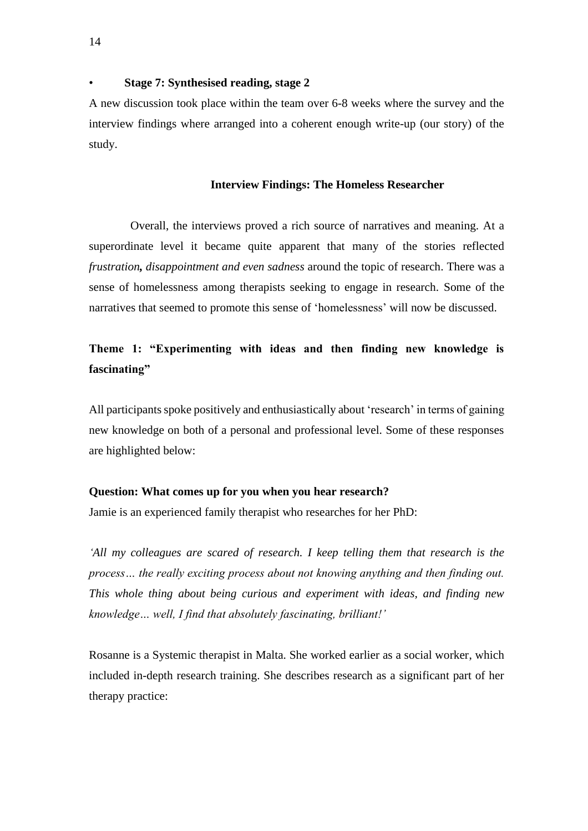# • **Stage 7: Synthesised reading, stage 2**

A new discussion took place within the team over 6-8 weeks where the survey and the interview findings where arranged into a coherent enough write-up (our story) of the study.

#### **Interview Findings: The Homeless Researcher**

 Overall, the interviews proved a rich source of narratives and meaning. At a superordinate level it became quite apparent that many of the stories reflected *frustration, disappointment and even sadness* around the topic of research. There was a sense of homelessness among therapists seeking to engage in research. Some of the narratives that seemed to promote this sense of 'homelessness' will now be discussed.

# **Theme 1: "Experimenting with ideas and then finding new knowledge is fascinating"**

All participants spoke positively and enthusiastically about 'research' in terms of gaining new knowledge on both of a personal and professional level. Some of these responses are highlighted below:

# **Question: What comes up for you when you hear research?**

Jamie is an experienced family therapist who researches for her PhD:

*'All my colleagues are scared of research. I keep telling them that research is the process… the really exciting process about not knowing anything and then finding out. This whole thing about being curious and experiment with ideas, and finding new knowledge… well, I find that absolutely fascinating, brilliant!'*

Rosanne is a Systemic therapist in Malta. She worked earlier as a social worker, which included in-depth research training. She describes research as a significant part of her therapy practice: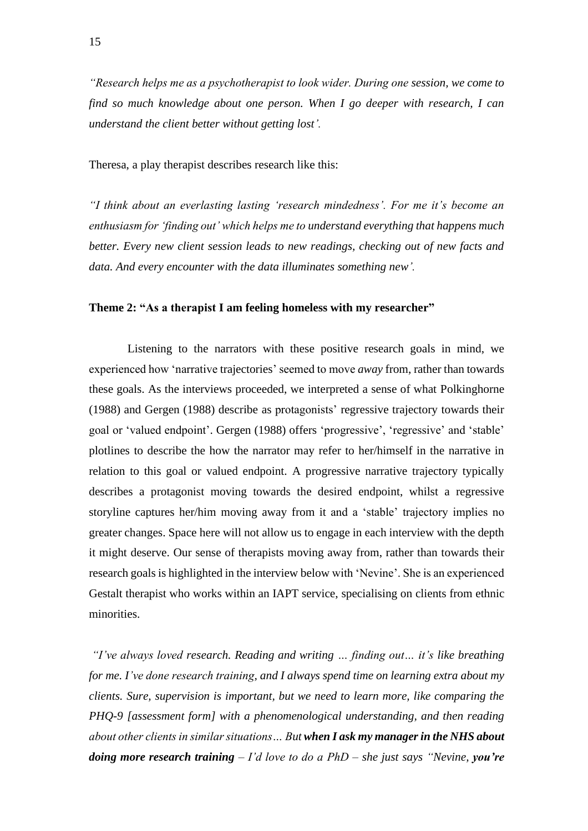*"Research helps me as a psychotherapist to look wider. During one session, we come to find so much knowledge about one person. When I go deeper with research, I can understand the client better without getting lost'.*

Theresa, a play therapist describes research like this:

*"I think about an everlasting lasting 'research mindedness'. For me it's become an enthusiasm for 'finding out' which helps me to understand everything that happens much better. Every new client session leads to new readings, checking out of new facts and data. And every encounter with the data illuminates something new'.*

# **Theme 2: "As a therapist I am feeling homeless with my researcher"**

 Listening to the narrators with these positive research goals in mind, we experienced how 'narrative trajectories' seemed to move *away* from, rather than towards these goals. As the interviews proceeded, we interpreted a sense of what Polkinghorne (1988) and Gergen (1988) describe as protagonists' regressive trajectory towards their goal or 'valued endpoint'. Gergen (1988) offers 'progressive', 'regressive' and 'stable' plotlines to describe the how the narrator may refer to her/himself in the narrative in relation to this goal or valued endpoint. A progressive narrative trajectory typically describes a protagonist moving towards the desired endpoint, whilst a regressive storyline captures her/him moving away from it and a 'stable' trajectory implies no greater changes. Space here will not allow us to engage in each interview with the depth it might deserve. Our sense of therapists moving away from, rather than towards their research goals is highlighted in the interview below with 'Nevine'. She is an experienced Gestalt therapist who works within an IAPT service, specialising on clients from ethnic minorities.

*"I've always loved research. Reading and writing … finding out… it's like breathing for me. I've done research training, and I always spend time on learning extra about my clients. Sure, supervision is important, but we need to learn more, like comparing the PHQ-9 [assessment form] with a phenomenological understanding, and then reading about other clients in similar situations… But when I ask my managerin the NHS about doing more research training – I'd love to do a PhD – she just says "Nevine, you're*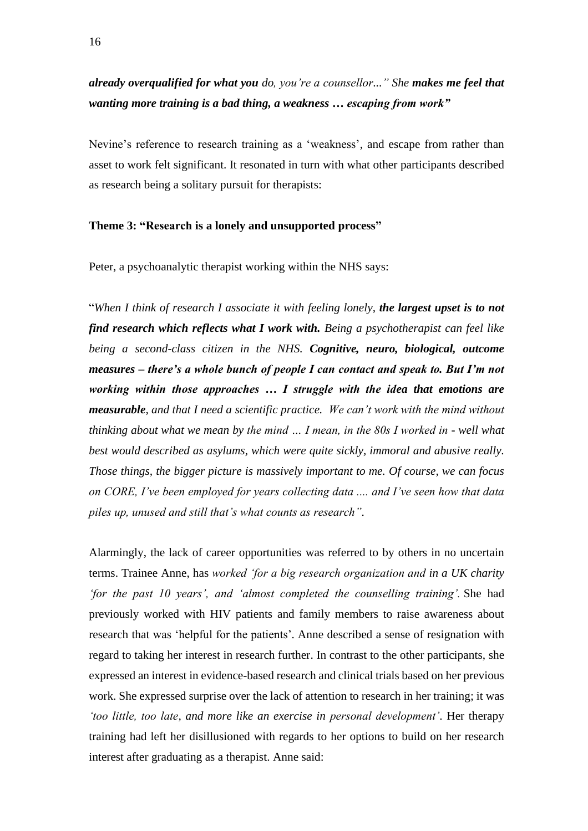# *already overqualified for what you do, you're a counsellor..." She makes me feel that wanting more training is a bad thing, a weakness … escaping from work"*

Nevine's reference to research training as a 'weakness', and escape from rather than asset to work felt significant. It resonated in turn with what other participants described as research being a solitary pursuit for therapists:

# **Theme 3: "Research is a lonely and unsupported process"**

Peter, a psychoanalytic therapist working within the NHS says:

"*When I think of research I associate it with feeling lonely, the largest upset is to not find research which reflects what I work with. Being a psychotherapist can feel like being a second-class citizen in the NHS. Cognitive, neuro, biological, outcome measures – there's a whole bunch of people I can contact and speak to. But I'm not working within those approaches … I struggle with the idea that emotions are measurable, and that I need a scientific practice. We can't work with the mind without thinking about what we mean by the mind … I mean, in the 80s I worked in - well what best would described as asylums, which were quite sickly, immoral and abusive really. Those things, the bigger picture is massively important to me. Of course, we can focus on CORE, I've been employed for years collecting data .... and I've seen how that data piles up, unused and still that's what counts as research".*

Alarmingly, the lack of career opportunities was referred to by others in no uncertain terms. Trainee Anne, has *worked 'for a big research organization and in a UK charity 'for the past 10 years', and 'almost completed the counselling training'.* She had previously worked with HIV patients and family members to raise awareness about research that was 'helpful for the patients'*.* Anne described a sense of resignation with regard to taking her interest in research further. In contrast to the other participants, she expressed an interest in evidence-based research and clinical trials based on her previous work. She expressed surprise over the lack of attention to research in her training; it was *'too little, too late, and more like an exercise in personal development'*. Her therapy training had left her disillusioned with regards to her options to build on her research interest after graduating as a therapist. Anne said: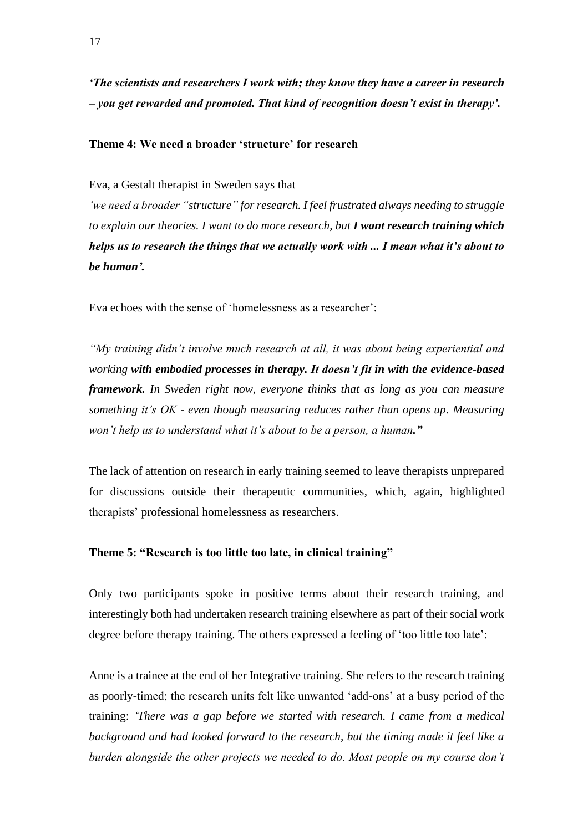*'The scientists and researchers I work with; they know they have a career in research – you get rewarded and promoted. That kind of recognition doesn't exist in therapy'.*

**Theme 4: We need a broader 'structure' for research**

Eva, a Gestalt therapist in Sweden says that

*'we need a broader "structure" for research. I feel frustrated always needing to struggle to explain our theories. I want to do more research, but I want research training which helps us to research the things that we actually work with ... I mean what it's about to be human'.*

Eva echoes with the sense of 'homelessness as a researcher':

*"My training didn't involve much research at all, it was about being experiential and working with embodied processes in therapy. It doesn't fit in with the evidence-based framework. In Sweden right now, everyone thinks that as long as you can measure something it's OK - even though measuring reduces rather than opens up. Measuring won't help us to understand what it's about to be a person, a human."*

The lack of attention on research in early training seemed to leave therapists unprepared for discussions outside their therapeutic communities, which, again, highlighted therapists' professional homelessness as researchers.

### **Theme 5: "Research is too little too late, in clinical training"**

Only two participants spoke in positive terms about their research training, and interestingly both had undertaken research training elsewhere as part of their social work degree before therapy training. The others expressed a feeling of 'too little too late':

Anne is a trainee at the end of her Integrative training. She refers to the research training as poorly-timed; the research units felt like unwanted 'add-ons' at a busy period of the training: *'There was a gap before we started with research. I came from a medical background and had looked forward to the research, but the timing made it feel like a burden alongside the other projects we needed to do. Most people on my course don't*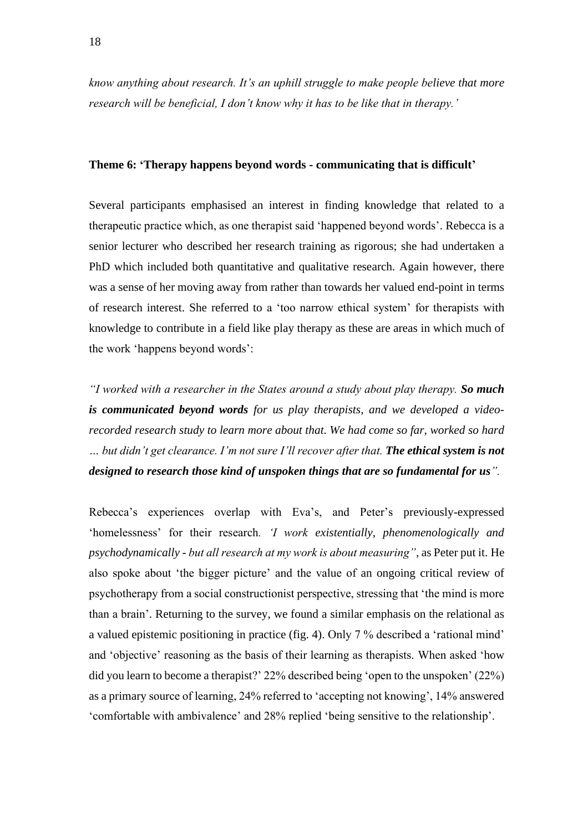*know anything about research. It's an uphill struggle to make people believe that more research will be beneficial, I don't know why it has to be like that in therapy.'*

#### **Theme 6: 'Therapy happens beyond words - communicating that is difficult'**

Several participants emphasised an interest in finding knowledge that related to a therapeutic practice which, as one therapist said 'happened beyond words'. Rebecca is a senior lecturer who described her research training as rigorous; she had undertaken a PhD which included both quantitative and qualitative research. Again however, there was a sense of her moving away from rather than towards her valued end-point in terms of research interest. She referred to a 'too narrow ethical system' for therapists with knowledge to contribute in a field like play therapy as these are areas in which much of the work 'happens beyond words':

*"I worked with a researcher in the States around a study about play therapy. So much is communicated beyond words for us play therapists, and we developed a videorecorded research study to learn more about that. We had come so far, worked so hard … but didn't get clearance. I'm not sure I'll recover after that. The ethical system is not designed to research those kind of unspoken things that are so fundamental for us".* 

Rebecca's experiences overlap with Eva's, and Peter's previously-expressed 'homelessness' for their research*. 'I work existentially, phenomenologically and psychodynamically - but all research at my work is about measuring",* as Peter put it. He also spoke about 'the bigger picture' and the value of an ongoing critical review of psychotherapy from a social constructionist perspective, stressing that 'the mind is more than a brain'. Returning to the survey, we found a similar emphasis on the relational as a valued epistemic positioning in practice (fig. 4). Only 7 % described a 'rational mind' and 'objective' reasoning as the basis of their learning as therapists. When asked 'how did you learn to become a therapist?' 22% described being 'open to the unspoken' (22%) as a primary source of learning, 24% referred to 'accepting not knowing', 14% answered 'comfortable with ambivalence' and 28% replied 'being sensitive to the relationship'.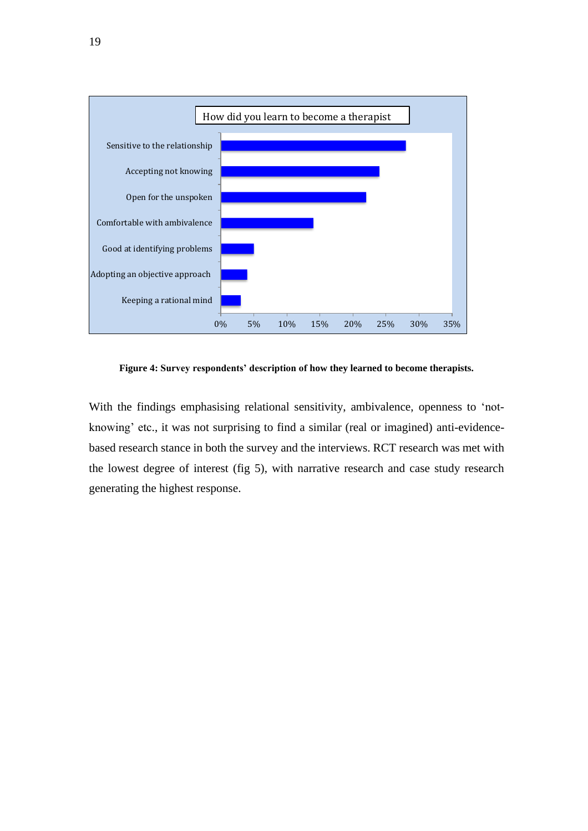

**Figure 4: Survey respondents' description of how they learned to become therapists.**

With the findings emphasising relational sensitivity, ambivalence, openness to 'notknowing' etc., it was not surprising to find a similar (real or imagined) anti-evidencebased research stance in both the survey and the interviews. RCT research was met with the lowest degree of interest (fig 5), with narrative research and case study research generating the highest response.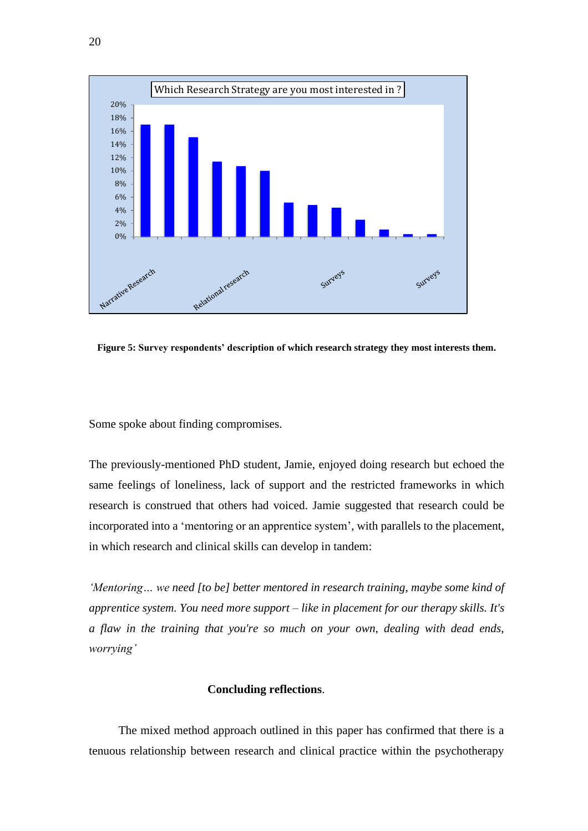

**Figure 5: Survey respondents' description of which research strategy they most interests them.**

Some spoke about finding compromises.

The previously-mentioned PhD student, Jamie, enjoyed doing research but echoed the same feelings of loneliness, lack of support and the restricted frameworks in which research is construed that others had voiced. Jamie suggested that research could be incorporated into a 'mentoring or an apprentice system', with parallels to the placement, in which research and clinical skills can develop in tandem:

*'Mentoring… we need [to be] better mentored in research training, maybe some kind of apprentice system. You need more support – like in placement for our therapy skills. It's a flaw in the training that you're so much on your own, dealing with dead ends, worrying'*

## **Concluding reflections**.

The mixed method approach outlined in this paper has confirmed that there is a tenuous relationship between research and clinical practice within the psychotherapy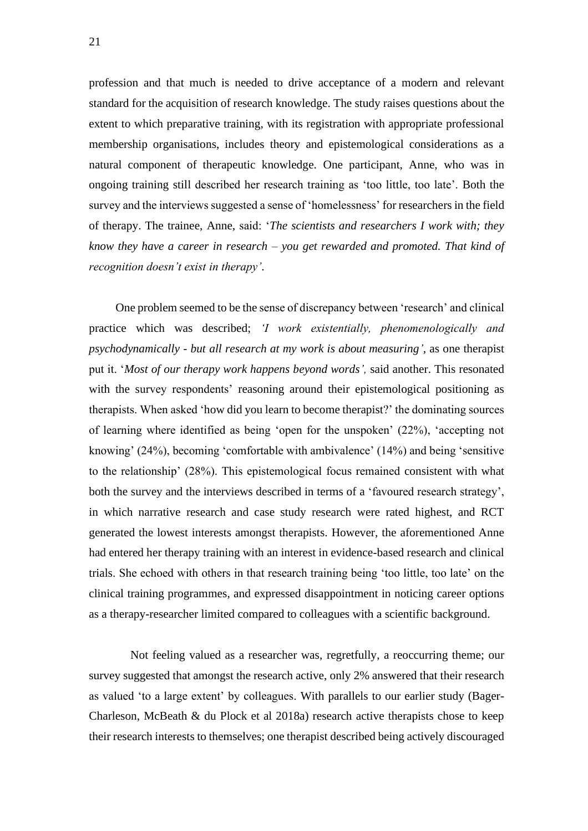profession and that much is needed to drive acceptance of a modern and relevant standard for the acquisition of research knowledge. The study raises questions about the extent to which preparative training, with its registration with appropriate professional membership organisations, includes theory and epistemological considerations as a natural component of therapeutic knowledge. One participant, Anne, who was in ongoing training still described her research training as 'too little, too late'. Both the survey and the interviews suggested a sense of 'homelessness' for researchers in the field of therapy. The trainee, Anne, said: '*The scientists and researchers I work with; they know they have a career in research – you get rewarded and promoted. That kind of recognition doesn't exist in therapy'*.

 One problem seemed to be the sense of discrepancy between 'research' and clinical practice which was described; *'I work existentially, phenomenologically and psychodynamically - but all research at my work is about measuring',* as one therapist put it. '*Most of our therapy work happens beyond words',* said another. This resonated with the survey respondents' reasoning around their epistemological positioning as therapists. When asked 'how did you learn to become therapist?' the dominating sources of learning where identified as being 'open for the unspoken' (22%), 'accepting not knowing' (24%), becoming 'comfortable with ambivalence' (14%) and being 'sensitive to the relationship' (28%). This epistemological focus remained consistent with what both the survey and the interviews described in terms of a 'favoured research strategy', in which narrative research and case study research were rated highest, and RCT generated the lowest interests amongst therapists. However, the aforementioned Anne had entered her therapy training with an interest in evidence-based research and clinical trials. She echoed with others in that research training being 'too little, too late' on the clinical training programmes, and expressed disappointment in noticing career options as a therapy-researcher limited compared to colleagues with a scientific background.

 Not feeling valued as a researcher was, regretfully, a reoccurring theme; our survey suggested that amongst the research active, only 2% answered that their research as valued 'to a large extent' by colleagues. With parallels to our earlier study (Bager-Charleson, McBeath & du Plock et al 2018a) research active therapists chose to keep their research interests to themselves; one therapist described being actively discouraged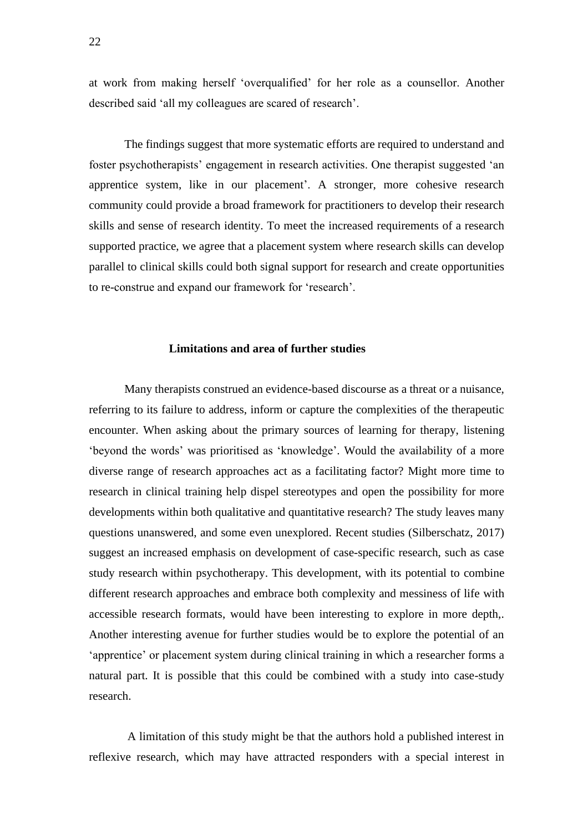at work from making herself 'overqualified' for her role as a counsellor. Another described said 'all my colleagues are scared of research'.

 The findings suggest that more systematic efforts are required to understand and foster psychotherapists' engagement in research activities. One therapist suggested 'an apprentice system, like in our placement'. A stronger, more cohesive research community could provide a broad framework for practitioners to develop their research skills and sense of research identity. To meet the increased requirements of a research supported practice, we agree that a placement system where research skills can develop parallel to clinical skills could both signal support for research and create opportunities to re-construe and expand our framework for 'research'.

#### **Limitations and area of further studies**

 Many therapists construed an evidence-based discourse as a threat or a nuisance, referring to its failure to address, inform or capture the complexities of the therapeutic encounter. When asking about the primary sources of learning for therapy, listening 'beyond the words' was prioritised as 'knowledge'. Would the availability of a more diverse range of research approaches act as a facilitating factor? Might more time to research in clinical training help dispel stereotypes and open the possibility for more developments within both qualitative and quantitative research? The study leaves many questions unanswered, and some even unexplored. Recent studies (Silberschatz, 2017) suggest an increased emphasis on development of case-specific research, such as case study research within psychotherapy. This development, with its potential to combine different research approaches and embrace both complexity and messiness of life with accessible research formats, would have been interesting to explore in more depth,. Another interesting avenue for further studies would be to explore the potential of an 'apprentice' or placement system during clinical training in which a researcher forms a natural part. It is possible that this could be combined with a study into case-study research.

 A limitation of this study might be that the authors hold a published interest in reflexive research, which may have attracted responders with a special interest in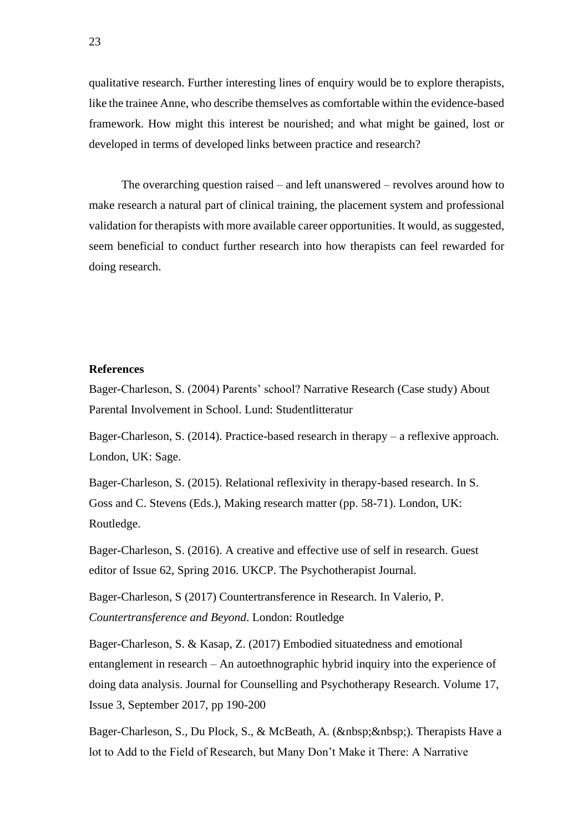qualitative research. Further interesting lines of enquiry would be to explore therapists, like the trainee Anne, who describe themselves as comfortable within the evidence-based framework. How might this interest be nourished; and what might be gained, lost or developed in terms of developed links between practice and research?

 The overarching question raised – and left unanswered – revolves around how to make research a natural part of clinical training, the placement system and professional validation for therapists with more available career opportunities. It would, as suggested, seem beneficial to conduct further research into how therapists can feel rewarded for doing research.

#### **References**

Bager-Charleson, S. (2004) Parents' school? Narrative Research (Case study) About Parental Involvement in School. Lund: Studentlitteratur

Bager-Charleson, S. (2014). Practice-based research in therapy – a reflexive approach. London, UK: Sage.

Bager-Charleson, S. (2015). Relational reflexivity in therapy-based research. In S. Goss and C. Stevens (Eds.), Making research matter (pp. 58-71). London, UK: Routledge.

Bager-Charleson, S. (2016). A creative and effective use of self in research. Guest editor of Issue 62, Spring 2016. UKCP. The Psychotherapist Journal.

Bager-Charleson, S (2017) Countertransference in Research. In Valerio, P. *Countertransference and Beyond*. London: Routledge

Bager-Charleson, S. & Kasap, Z. (2017) Embodied situatedness and emotional entanglement in research – An autoethnographic hybrid inquiry into the experience of doing data analysis. Journal for Counselling and Psychotherapy Research. Volume 17, Issue 3, September 2017, pp 190-200

Bager-Charleson, S., Du Plock, S., & McBeath, A. ( ). Therapists Have a lot to Add to the Field of Research, but Many Don't Make it There: A Narrative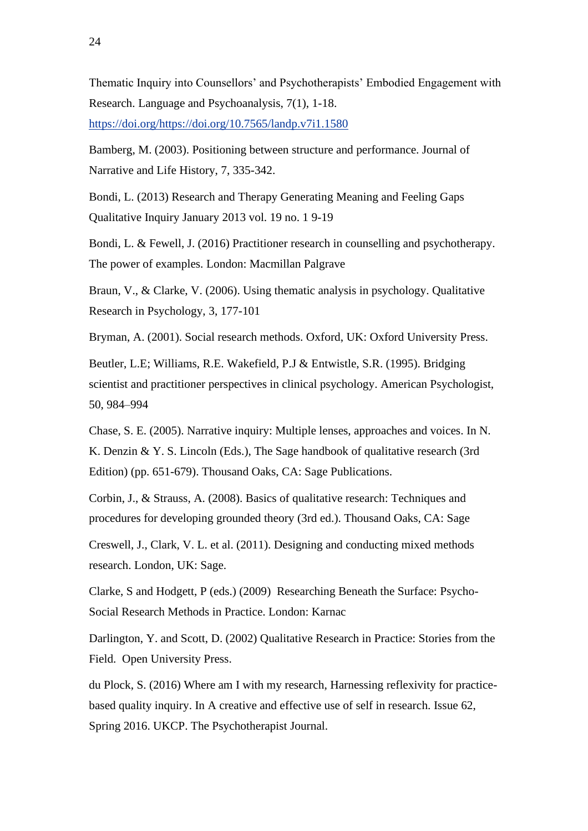Thematic Inquiry into Counsellors' and Psychotherapists' Embodied Engagement with

Research. Language and Psychoanalysis, 7(1), 1-18.

[https://doi.org/https://doi.org/10.7565/landp.v7i1.1580](https://doi.org/https:/doi.org/10.7565/landp.v7i1.1580)

Bamberg, M. (2003). Positioning between structure and performance. Journal of Narrative and Life History, 7, 335-342.

Bondi, L. (2013) Research and Therapy Generating Meaning and Feeling Gaps Qualitative Inquiry January 2013 vol. 19 no. 1 9-19

Bondi, L. & Fewell, J. (2016) Practitioner research in counselling and psychotherapy. The power of examples. London: Macmillan Palgrave

Braun, V., & Clarke, V. (2006). Using thematic analysis in psychology. Qualitative Research in Psychology, 3, 177-101

Bryman, A. (2001). Social research methods. Oxford, UK: Oxford University Press.

Beutler, L.E; Williams, R.E. Wakefield, P.J & Entwistle, S.R. (1995). Bridging scientist and practitioner perspectives in clinical psychology. American Psychologist, 50, 984–994

Chase, S. E. (2005). Narrative inquiry: Multiple lenses, approaches and voices. In N. K. Denzin & Y. S. Lincoln (Eds.), The Sage handbook of qualitative research (3rd Edition) (pp. 651-679). Thousand Oaks, CA: Sage Publications.

Corbin, J., & Strauss, A. (2008). Basics of qualitative research: Techniques and procedures for developing grounded theory (3rd ed.). Thousand Oaks, CA: Sage

Creswell, J., Clark, V. L. et al. (2011). Designing and conducting mixed methods research. London, UK: Sage.

Clarke, S and Hodgett, P (eds.) (2009) Researching Beneath the Surface: Psycho-Social Research Methods in Practice. London: Karnac

Darlington, Y. and Scott, D. (2002) Qualitative Research in Practice: Stories from the Field. Open University Press.

du Plock, S. (2016) Where am I with my research, Harnessing reflexivity for practicebased quality inquiry. In A creative and effective use of self in research. Issue 62, Spring 2016. UKCP. The Psychotherapist Journal.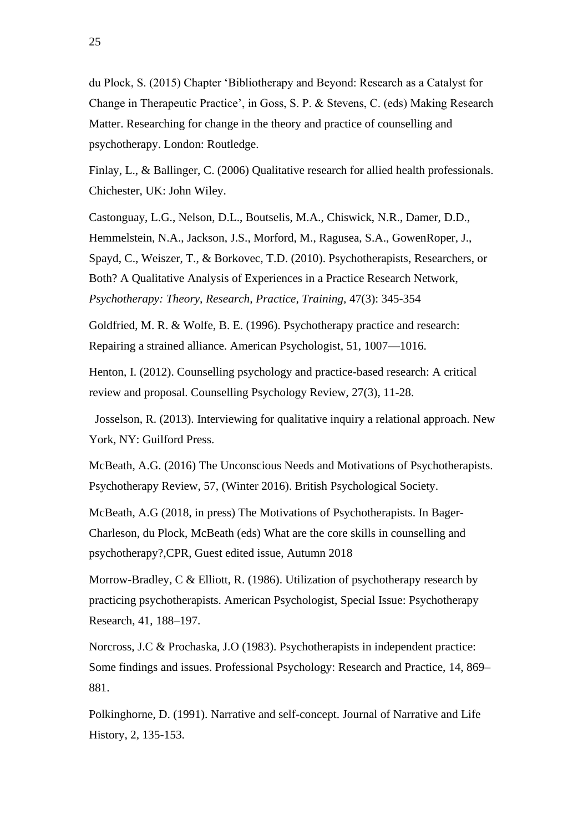du Plock, S. (2015) Chapter 'Bibliotherapy and Beyond: Research as a Catalyst for Change in Therapeutic Practice', in Goss, S. P. & Stevens, C. (eds) Making Research Matter. Researching for change in the theory and practice of counselling and psychotherapy. London: Routledge.

Finlay, L., & Ballinger, C. (2006) Qualitative research for allied health professionals. Chichester, UK: John Wiley.

Castonguay, L.G., Nelson, D.L., Boutselis, M.A., Chiswick, N.R., Damer, D.D., Hemmelstein, N.A., Jackson, J.S., Morford, M., Ragusea, S.A., GowenRoper, J., Spayd, C., Weiszer, T., & Borkovec, T.D. (2010). Psychotherapists, Researchers, or Both? A Qualitative Analysis of Experiences in a Practice Research Network, *Psychotherapy: Theory, Research, Practice, Training,* 47(3): 345-354

Goldfried, M. R. & Wolfe, B. E. (1996). Psychotherapy practice and research: Repairing a strained alliance. American Psychologist, 51, 1007—1016.

Henton, I. (2012). Counselling psychology and practice-based research: A critical review and proposal. Counselling Psychology Review, 27(3), 11-28.

 Josselson, R. (2013). Interviewing for qualitative inquiry a relational approach. New York, NY: Guilford Press.

McBeath, A.G. (2016) The Unconscious Needs and Motivations of Psychotherapists. Psychotherapy Review, 57, (Winter 2016). British Psychological Society.

McBeath, A.G (2018, in press) The Motivations of Psychotherapists. In Bager-Charleson, du Plock, McBeath (eds) What are the core skills in counselling and psychotherapy?,CPR, Guest edited issue, Autumn 2018

Morrow-Bradley, C & Elliott, R. (1986). Utilization of psychotherapy research by practicing psychotherapists. American Psychologist, Special Issue: Psychotherapy Research, 41, 188–197.

Norcross, J.C & Prochaska, J.O (1983). Psychotherapists in independent practice: Some findings and issues. Professional Psychology: Research and Practice, 14, 869– 881.

Polkinghorne, D. (1991). Narrative and self-concept. Journal of Narrative and Life History, 2, 135-153.